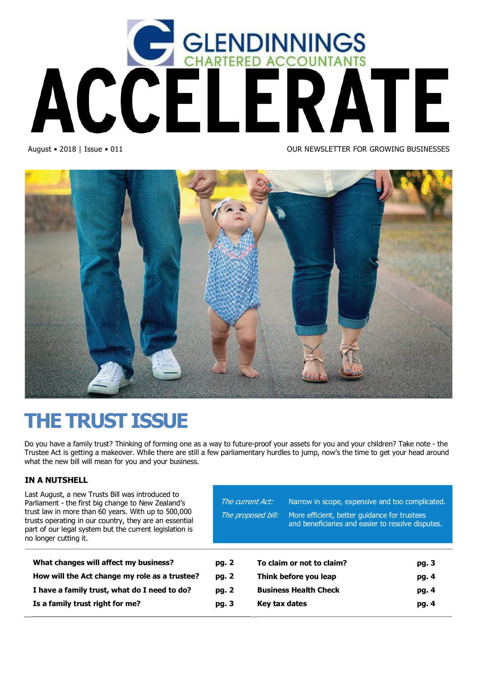

August • 2018 | Issue • 011 OUR NEWSLETTER FOR GROWING BUSINESSES



# **THE TRUST ISSUE**

Do you have a family trust? Thinking of forming one as a way to future-proof your assets for you and your children? Take note - the Trustee Act is getting a makeover. While there are still a few parliamentary hurdles to jump, now's the time to get your head around what the new bill will mean for you and your business.

### **IN A NUTSHELL**

Last August, a new Trusts Bill was introduced to Parliament - the first big change to New Zealand's trust law in more than 60 years. With up to 500,000 trusts operating in our country, they are an essential part of our legal system but the current legislation is no longer cutting it.

**What changes will affect my business?** 

| The current Act: |                       | Narrow in scope, expensive and too complicated.                                                   |       |
|------------------|-----------------------|---------------------------------------------------------------------------------------------------|-------|
|                  | The proposed bill:    | More efficient, better quidance for trustees<br>and beneficiaries and easier to resolve disputes. |       |
|                  |                       |                                                                                                   |       |
| pg. 2            |                       | To claim or not to claim?                                                                         | pg. 3 |
| pg. 2            | Think before you leap |                                                                                                   | pg. 4 |
| pg. 2            |                       | <b>Business Health Check</b>                                                                      | pg. 4 |

**Key tax dates pg. 4**

**How will the Act change my role as a trustee? pg. 2 I have a family trust, what do I need to do? pg. 2 Is a family trust right for me? pg. 3**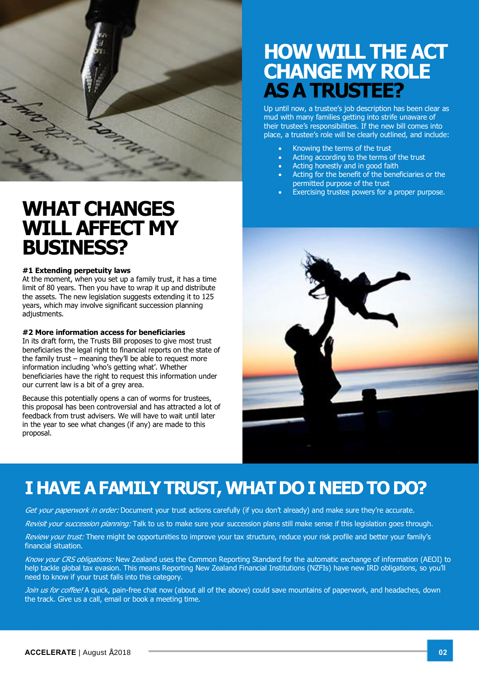

# **WHAT CHANGES WILL AFFECT MY BUSINESS?**

#### **#1 Extending perpetuity laws**

At the moment, when you set up a family trust, it has a time limit of 80 years. Then you have to wrap it up and distribute the assets. The new legislation suggests extending it to 125 years, which may involve significant succession planning adjustments.

#### **#2 More information access for beneficiaries**

In its draft form, the Trusts Bill proposes to give most trust beneficiaries the legal right to financial reports on the state of the family trust – meaning they'll be able to request more information including 'who's getting what'. Whether beneficiaries have the right to request this information under our current law is a bit of a grey area.

Because this potentially opens a can of worms for trustees, this proposal has been controversial and has attracted a lot of feedback from trust advisers. We will have to wait until later in the year to see what changes (if any) are made to this proposal.

# **HOW WILL THE ACT CHANGE MY ROLE AS A TRUSTEE?**

Up until now, a trustee's job description has been clear as mud with many families getting into strife unaware of their trustee's responsibilities. If the new bill comes into place, a trustee's role will be clearly outlined, and include:

- Knowing the terms of the trust
- · Acting according to the terms of the trust
- Acting honestly and in good faith
- Acting for the benefit of the beneficiaries or the permitted purpose of the trust
- Exercising trustee powers for a proper purpose.



# **I HAVE A FAMILY TRUST, WHAT DO I NEED TO DO?**

Get your paperwork in order: Document your trust actions carefully (if you don't already) and make sure they're accurate.

Revisit your succession planning: Talk to us to make sure your succession plans still make sense if this legislation goes through.

Review your trust: There might be opportunities to improve your tax structure, reduce your risk profile and better your family's financial situation.

Know your CRS obligations: New Zealand uses the Common Reporting Standard for the automatic exchange of information (AEOI) to help tackle global tax evasion. This means Reporting New Zealand Financial Institutions (NZFIs) have new IRD obligations, so you'll need to know if your trust falls into this category.

Join us for coffee! A quick, pain-free chat now (about all of the above) could save mountains of paperwork, and headaches, down the track. Give us a call, email or book a meeting time.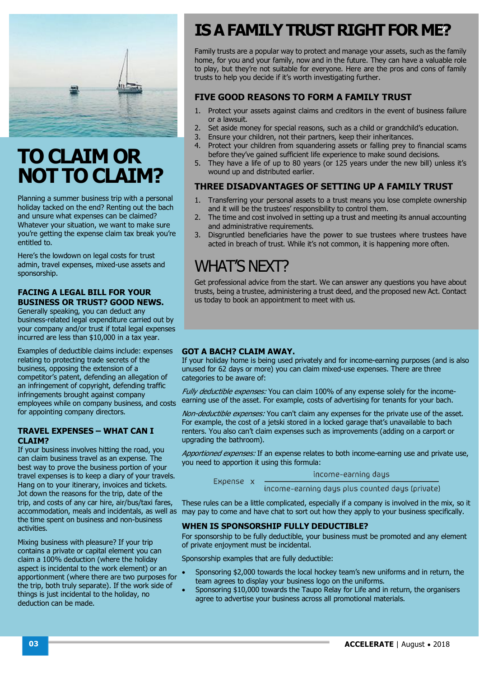

# **TO CLAIM OR NOT TO CLAIM?**

Planning a summer business trip with a personal holiday tacked on the end? Renting out the bach and unsure what expenses can be claimed? Whatever your situation, we want to make sure you're getting the expense claim tax break you're entitled to.

Here's the lowdown on legal costs for trust admin, travel expenses, mixed-use assets and sponsorship.

### **FACING A LEGAL BILL FOR YOUR BUSINESS OR TRUST? GOOD NEWS.**

Generally speaking, you can deduct any business-related legal expenditure carried out by your company and/or trust if total legal expenses incurred are less than \$10,000 in a tax year.

Examples of deductible claims include: expenses relating to protecting trade secrets of the business, opposing the extension of a competitor's patent, defending an allegation of an infringement of copyright, defending traffic infringements brought against company employees while on company business, and costs for appointing company directors.

### **TRAVEL EXPENSES – WHAT CAN I CLAIM?**

If your business involves hitting the road, you can claim business travel as an expense. The best way to prove the business portion of your travel expenses is to keep a diary of your travels. Hang on to your itinerary, invoices and tickets. Jot down the reasons for the trip, date of the trip, and costs of any car hire, air/bus/taxi fares, the time spent on business and non-business activities.

Mixing business with pleasure? If your trip contains a private or capital element you can claim a 100% deduction (where the holiday aspect is incidental to the work element) or an apportionment (where there are two purposes for the trip, both truly separate). If the work side of things is just incidental to the holiday, no deduction can be made.

# **.02 IS A FAMILY TRUST RIGHT FOR ME?**

Family trusts are a popular way to protect and manage your assets, such as the family home, for you and your family, now and in the future. They can have a valuable role to play, but they're not suitable for everyone. Here are the pros and cons of family trusts to help you decide if it's worth investigating further.

## **FIVE GOOD REASONS TO FORM A FAMILY TRUST**

- 1. Protect your assets against claims and creditors in the event of business failure or a lawsuit.
- 2. Set aside money for special reasons, such as a child or grandchild's education.
- 3. Ensure your children, not their partners, keep their inheritances.
- 4. Protect your children from squandering assets or falling prey to financial scams before they've gained sufficient life experience to make sound decisions.
- 5. They have a life of up to 80 years (or 125 years under the new bill) unless it's wound up and distributed earlier.

### **THREE DISADVANTAGES OF SETTING UP A FAMILY TRUST**

- 1. Transferring your personal assets to a trust means you lose complete ownership and it will be the trustees' responsibility to control them.
- 2. The time and cost involved in setting up a trust and meeting its annual accounting and administrative requirements.
- 3. Disgruntled beneficiaries have the power to sue trustees where trustees have acted in breach of trust. While it's not common, it is happening more often.

## WHAT'S NEXT?

Get professional advice from the start. We can answer any questions you have about trusts, being a trustee, administering a trust deed, and the proposed new Act. Contact us today to book an appointment to meet with us.

### **GOT A BACH? CLAIM AWAY.**

Expense x

If your holiday home is being used privately and for income-earning purposes (and is also unused for 62 days or more) you can claim mixed-use expenses. There are three categories to be aware of:

Fully deductible expenses: You can claim 100% of any expense solely for the incomeearning use of the asset. For example, costs of advertising for tenants for your bach.

Non-deductible expenses: You can't claim any expenses for the private use of the asset. For example, the cost of a jetski stored in a locked garage that's unavailable to bach renters. You also can't claim expenses such as improvements (adding on a carport or upgrading the bathroom).

Apportioned expenses: If an expense relates to both income-earning use and private use, you need to apportion it using this formula:

income-earning daus

income-earning days plus counted days (private)

accommodation, meals and incidentals, as well as may pay to come and have chat to sort out how they apply to your business specifically. These rules can be a little complicated, especially if a company is involved in the mix, so it

### **WHEN IS SPONSORSHIP FULLY DEDUCTIBLE?**

For sponsorship to be fully deductible, your business must be promoted and any element of private enjoyment must be incidental.

Sponsorship examples that are fully deductible:

- · Sponsoring \$2,000 towards the local hockey team's new uniforms and in return, the team agrees to display your business logo on the uniforms.
- Sponsoring \$10,000 towards the Taupo Relay for Life and in return, the organisers agree to advertise your business across all promotional materials.